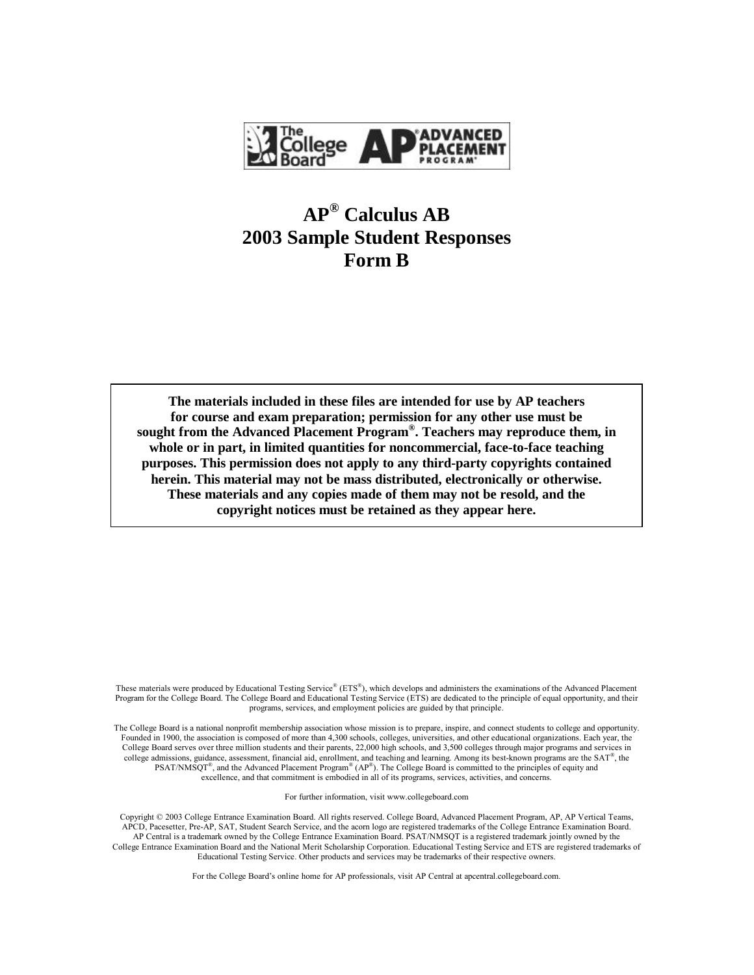

### **AP® Calculus AB 2003 Sample Student Responses Form B**

**The materials included in these files are intended for use by AP teachers for course and exam preparation; permission for any other use must be sought from the Advanced Placement Program® . Teachers may reproduce them, in whole or in part, in limited quantities for noncommercial, face-to-face teaching purposes. This permission does not apply to any third-party copyrights contained herein. This material may not be mass distributed, electronically or otherwise. These materials and any copies made of them may not be resold, and the copyright notices must be retained as they appear here.**

These materials were produced by Educational Testing Service® (ETS®), which develops and administers the examinations of the Advanced Placement Program for the College Board. The College Board and Educational Testing Service (ETS) are dedicated to the principle of equal opportunity, and their programs, services, and employment policies are guided by that principle.

The College Board is a national nonprofit membership association whose mission is to prepare, inspire, and connect students to college and opportunity. Founded in 1900, the association is composed of more than 4,300 schools, colleges, universities, and other educational organizations. Each year, the College Board serves over three million students and their parents, 22,000 high schools, and 3,500 colleges through major programs and services in college admissions, guidance, assessment, financial aid, enrollment, and teaching and learning. Among its best-known programs are the  $SAT^{\circ}$ , the  $PSAT/NM\text{SQT}^*$ , and the Advanced Placement Program<sup>®</sup> (AP<sup>®</sup>). The College Board is committed to the principles of equity and excellence, and that commitment is embodied in all of its programs, services, activities, and concerns.

For further information, visit www.collegeboard.com

Copyright © 2003 College Entrance Examination Board. All rights reserved. College Board, Advanced Placement Program, AP, AP Vertical Teams, APCD, Pacesetter, Pre-AP, SAT, Student Search Service, and the acorn logo are registered trademarks of the College Entrance Examination Board. AP Central is a trademark owned by the College Entrance Examination Board. PSAT/NMSQT is a registered trademark jointly owned by the College Entrance Examination Board and the National Merit Scholarship Corporation. Educational Testing Service and ETS are registered trademarks of Educational Testing Service. Other products and services may be trademarks of their respective owners.

For the College Board's online home for AP professionals, visit AP Central at apcentral.collegeboard.com.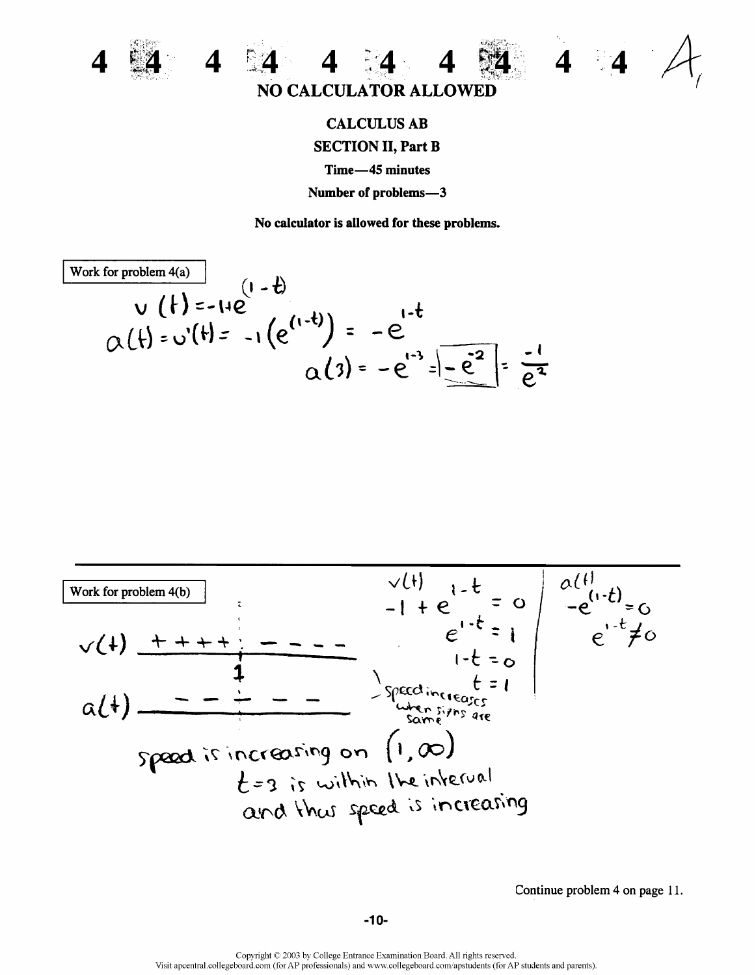



## **CALCULUS AB SECTION II, Part B** Time-45 minutes Number of problems-3

No calculator is allowed for these problems.

Work for problem 4(a)  
\n
$$
V(t) = -14e
$$
  
\n $Q(t) = v'(t) = -1(e^{(1-t)}) = -e^{1-t}$   
\n $Q(3) = -e^{1-3} = -e^{2} = -e^{2} = \frac{1}{e^{2}} = \frac{1}{e^{2}}$ 



Continue problem 4 on page 11.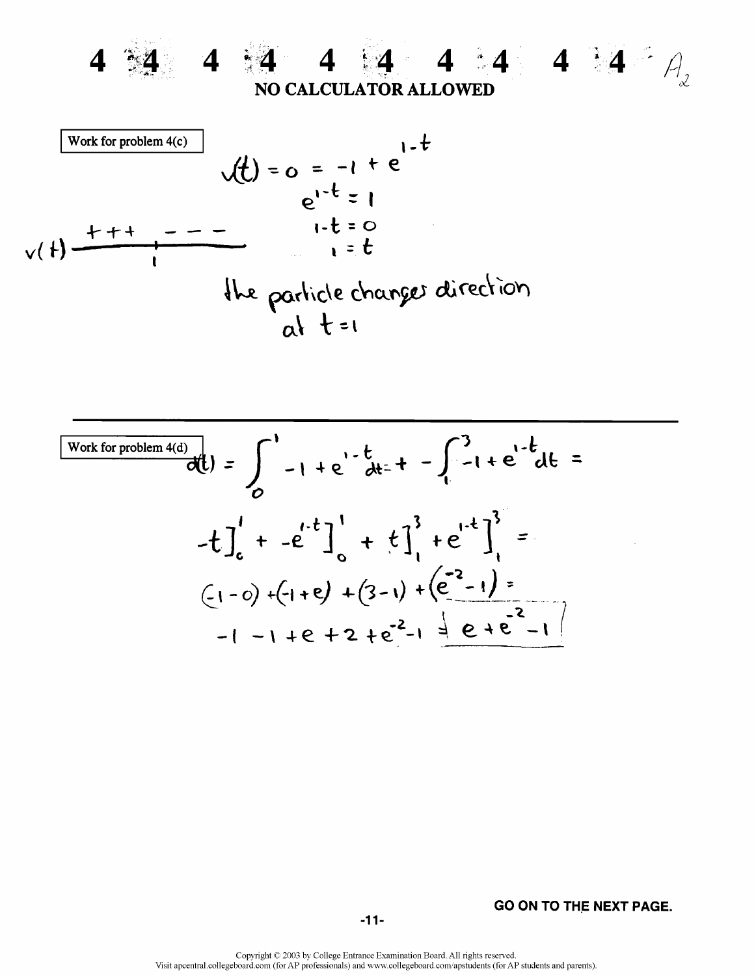

4 :4 4 4 4 4 4 4  $A$ **NO CALCULATOR ALLOWED** 



Work for problem 4(d)  
\n
$$
\frac{\text{Work for problem 4(d)}}{d\theta} = \int_{0}^{1} -1 + e^{1-t} dt = + - \int_{1}^{3} -1 + e^{1-t} dt =
$$
\n
$$
-t \int_{0}^{1} + -e^{1-t} \Big|_{0}^{1} + t \Big|_{1}^{3} + e^{1-t} \Big|_{1}^{3} =
$$
\n
$$
(-1 - 0) + (-1 + e) + (3 - 1) + (e^{2} - 1) =
$$
\n
$$
-1 - 1 + e + 2 + e^{2} - 1 = e + e^{2} - 1
$$

**GO ON TO THE NEXT PAGE.**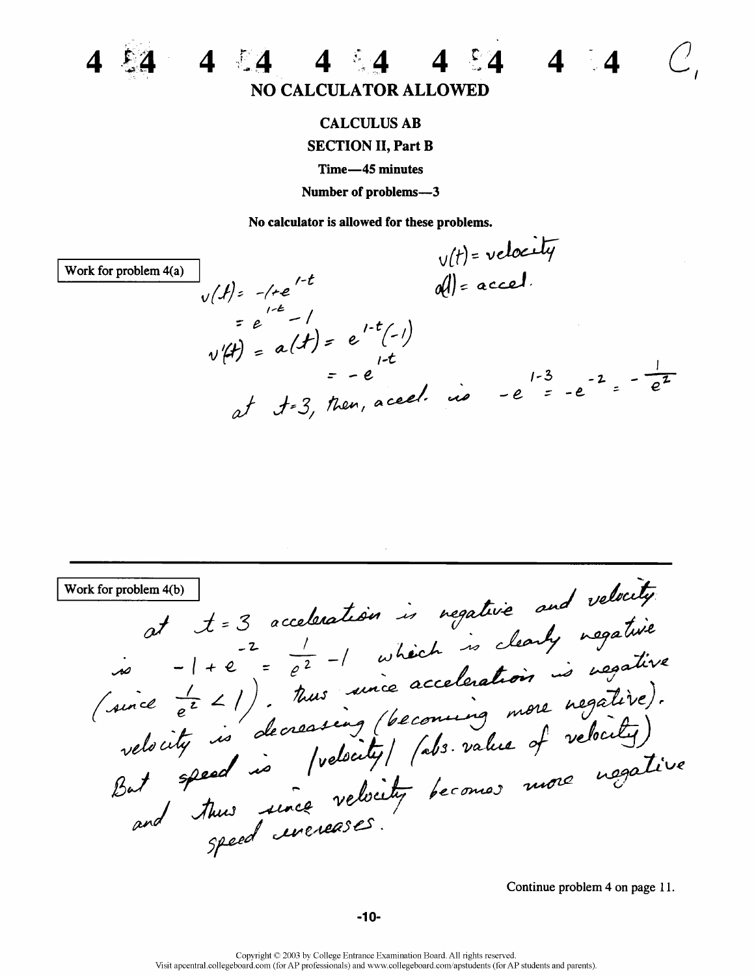

# **NO CALCULATOR ALLOWED**

 $4 \t14 \t4 \t4 \t14$ 

### **CALCULUS AB**

#### **SECTION II, Part B**

Time-45 minutes

Number of problems-3

No calculator is allowed for these problems.

 $v(t)$  = velocity  $d = accel$ . Work for problem 4(a)  $v(t) = -(te^{t-t})$  $= e^{1-t} - 1$  $v(ft) = a(ft) = e^{1-t}(-1)$ <br> $v(ft) = -e^{1-t}$  $e_1 = -e$ <br>at  $t=3$ , then, aced. is  $-e^{1-3} = -e^{-2} = -e^{-2}$ 

at  $t = 3$  acceleration is regative and velocity Work for problem 4(b)  $\frac{1}{2}$  and the summation is regained and vertice  $\frac{1}{e^2}$  -1 which is clearly negative (since  $\frac{1}{e^2}$  -1 which is clearly negative).<br>(since  $\frac{1}{e^2}$  -1). Thus since acceleration is usefully<br>velocity is decrea

Continue problem 4 on page 11.

 $4 \quad 4$